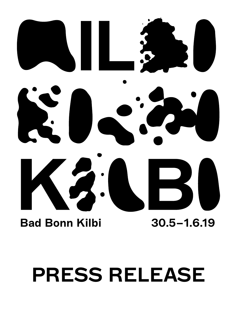

# Bad Bonn Kilbi 30.5–1.6.19

# PRESS RELEASE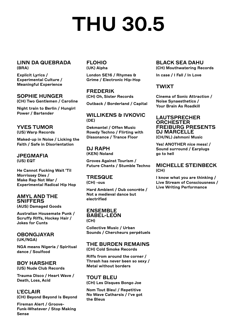# THU 30.5

# LINN DA QUEBRADA (BRA)

Explicit Lyrics / Experimental Culture / Meaningful Experience

SOPHIE HUNGER (CH) Two Gentlemen / Caroline

Night train to Berlin / Hungirl Power / Bartender

# YVES TUMOR

(US) Warp Records

Maked-up in Noise / Licking the Faith / Safe in Disorientation

JPEGMAFIA (US) EQT

He Cannot Fucking Wait 'Til Morrissey Dies / Make Rap Not War / Experimental Radical Hip Hop

### AMYL AND THE **SNIFFERS** (AUS) Damaged Goods

Australian Housemate Punk / Scruffy Riffs, Hockey Hair /

# OBONGJAYAR (UK/NGA)

Jokes for Cunts

NGA means Nigeria / Spiritual dance / Soulfood

# BOY HARSHER

(US) Nude Club Records

Trauma Disco / Heart Wave / Death, Loss, Acid

L'ECLAIR (CH) Beyond Beyond Is Beyond

Fireman Alert / Groove-Funk-Whatever / Stop Making Sense

#### FLOHIO (UK) Alpha

London SE16 / Rhymes & Grime / Electronic Hip-Hop

# FREDERIK

(CH) Oh, Sister Records

Outback / Borderland / Capital

# WILLIKENS & IVKOVIC (DE)

Dekmantel / Offen Music Rowdy Techno / Flirting with Dissonance / Trance Floor

DJ RAPH (KEN) Noland

Groves Against Tourism / Future Chants / Stumble Techno

# **TRESQUE**

(CH) -ous

Hard Ambient / Dub concrète / Not a medieval dance but electrified

# ENSEMBLE BABEL-LEON

(CH)

Collective Music / Urban Sounds / Chercheurs perpétuels

# THE BURDEN REMAINS

(CH) Cold Smoke Records

Riffs from around the corner / Thrash has never been so sexy / Metal without borders

TOUT BLEU (CH) Les Disques Bongo Joe

Nom Tout Bleu! / Repetitive No Wave Catharsis / I've got the Bleus

### BLACK SEA DAHU (CH) Mouthwatering Records

In case / I Fall / In Love

# TWIXT

Cinema of Sonic Attraction / Noise Synaesthetics / Your Brain As Roadkill

#### LAUTSPRECHER **ORCHESTER** FREIBURG PRESENTS DJ MARCELLE (CH/NL) Jahmoni Music

Yes! ANOTHER nice mess! / Sound surround / Earplugs go to hell

# MICHELLE STEINBECK (CH)

I know what you are thinking / Live Stream of Consciousness / Live Writing Performance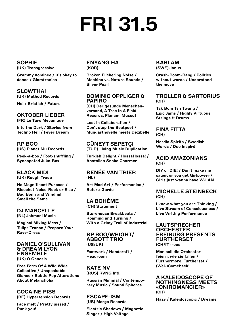# FRI 31.5

SOPHIE (UK) Transgressive

Grammy nominee / It's okay to dance / Glamtronica

# **SLOWTHAI**

(UK) Method Records

No! / Bristish / Future

# OKTOBER LIEBER

(FR) Le Turc Mecanique

Into the Dark / Stories from Techno Hell / Fever Dream

# RP BOO

(US) Planet Mu Records

Peek-a-boo / Foot-shuffling / Syncopated Juke-Box

# BLACK MIDI

(UK) Rough Trade

No Magnificent Purpose / Ricochet Noise-Rock or Else / Bad Bonn and Windmill Smell the Same

# DJ MARCELLE

(NL) Jahmoni Music

Magical Mixing Mess / Tulips Trance / Prepare Your Rave-Dress

#### DANIEL O'SULLIVAN & DREAM LYON ENSEMBLE (UK) O Genesis

Free Form Of A Wild Wide Collective / Unspeakable Glance / Subtle Pop Alterations

About Melancholia

COCAINE PISS (BE) Hypertension Records

Face melt / Pretty pissed / Punk you!

### ENYANG HA (KOR)

Broken Flickering Noise / Machine vs. Nature Sounds / Silver Pearl

# DOMINIC OPPLIGER & PAPIRO

(CH) Der gesunde Menschenversand, A Tree In A Field Records, Planam, Muscut

Lost in Collaboration / Don't stop the Beatpoet / Mundartnovelle meets Dezibelle

# CÜNEYT SEPETÇI (TUR) Living Music Duplication

Turkish Delight / HossaHossa! / Anatolian Snake Charmer

# RENÉE VAN TRIER (NL)

Art Mad Art / Performaniac / Before-Garde

### LA BOHÈME (CH) Statement

Storehouse Breakbeats / Roaming and Turning / With a Grimy Trail of Industrial

#### RP BOO/WRIGHT/ ABBOTT TRIO (US/UK)

Footwork / Handcraft / Headroom

KATE NV (RUS) RVNG Intl.

Russian Minimal / Contemporary Music / Sound Spheres

ESCAPE-ISM (US) Merge Records

Electric Shadows / Magnetic Singer / High Voltage

### KABLAM (SWE) Janus

Crash-Boom-Bang / Politics without words / Understand the move

# TROLLER & SARTORIUS (CH)

Tak Bom Tsh Twang / Epic Jams / Highly Virtuous Strings & Drums

# FINA FITTA (CH)

Nordic Spirits / Swedish Words / Duo inspiré

# ACID AMAZONIANS (CH)

DIY or DIE! / Don't make me sauer, or you get Girlpower / Girls just wanna have W-LAN

# MICHELLE STEINBECK (CH)

I know what you are Thinking / Live Stream of Consciousness / Live Writing Performance

#### LAUTSPRECHER **ORCHESTER** FREIBURG PRESENTS FURTHERSET (CH/IT) -ous

Man soll die Orchester feiern, wie sie fallen / Furthermore, Furtherset / (Wel-)Comeback!

### A KALEIDOSCOPE OF NOTHINGNESS MEETS «ONIROMANCIER» (CH)

Hazy / Kaleidoscopic / Dreams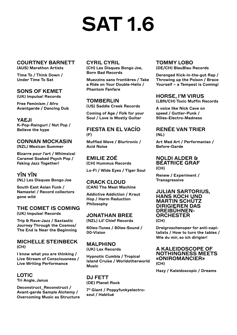# SAT 1.6

#### COURTNEY BARNETT (AUS) Marathon Artists

Time To / Think Down / Under Time To Sat

# SONS OF KEMET

(UK) Impulse! Records

Free Feminism / Afro Avantgarde / Dancing Dub

# YAEJI

K-Pop-Raingurl / Not Pop / Believe the hype

# CONNAN MOCKASIN

(NZL) Mexican Summer

Bizarre pour l'art / Whimsical Caramel Soaked Psych Pop / Faking Jazz Together!

# YĪN YĪN

(NL) Les Disques Bongo Joe

South East Asian Funk / Namaste! / Record collectors gone wild

# THE COMET IS COMING

(UK) Impulse! Records

Trip & Rave-Jazz / Saxtastic Journey Through the Cosmos/ The End is Near the Beginning

# MICHELLE STEINBECK (CH)

I know what you are thinking / Live Stream of Consciousness / Live Writing Performance

# LOTIC

Tri Angle, Janus

Deconstruct\_Reconstruct / Avant-garde Sample Alchemy / Overcoming Music as Structure

# CYRIL CYRIL

(CH) Les Disques Bongo Joe, Born Bad Records

Muezzins sans frontières / Take a Ride on Your Double-Helix / Phantom Fanfare

# **TOMBERLIN**

(US) Saddle Creek Records

Coming of Age / Folk for your Soul / Love is Mostly Guitar

# FIESTA EN EL VACÍO (F)

Muffled Wave / Blurtronic / Acid Noise

EMILIE ZOÉ (CH) Hummus Records

Lo-Fi / Wide Eyes / Tiger Soul

#### CRACK CLOUD (CAN) The Meat Machine

Addictive Addiction / Kraut Hop / Harm Reduction Philosophy

# JONATHAN BREE

(NZL) Lil' Chief Records

60ies-Tunes / 80ies-Sound / 00-Vision

# MALPHINO (UK) Lex Records

Hypnotic Cumbia / Tropical Island Cruise / Worldotherworld Music

# DJ FETT

(DE) Planet Rock

7" Giant / Poppyfunkyelectrosoul / Habitué

#### TOMMY LOBO (DE/CH) BlauBlau Records

Deranged Kick-in-the-gut Rap / Throwing up the Poison / Brace Yourself – a Tempest is Coming!

# HORSE, I'M VIRUS

(LBN/CH) Toxic Muffin Records

A voice like Nick Cave on speed / Gutter-Punk / 90ies-Electro-Madness

# RENÉE VAN TRIER (NL)

Art Mad Art / Performaniac / Before-Garde

#### NOLDI ALDER & BÉATRICE GRAF (CH)

Renew / Experiment / **Transgressive** 

#### JULIAN SARTORIUS, HANS KOCH UND MARTIN SCHÜTZ DIRIGIEREN DAS DREIBÜHNEN-**ORCHESTER** (CH)

Dreigroschenoper for anti-capitalists / How to turn the tables / Wie du mir, so ich dirigier!

### A KALEIDOSCOPE OF NOTHINGNESS MEETS «ONIROMANCIER» (CH)

Hazy / Kaleidoscopic / Dreams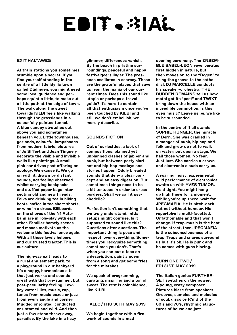# EDIT.31AŁ

#### EXIT HALTAWEG

At train stations you sometimes stumble upon a secret. If you find yourself standing in the centre of a little idyllic town called Düdingen, you might need some local guidance and perhaps squint a little, to make out a little path at the edge of town. The walk along the street towards KILBI feels like walking through the grasslands in a colourfully painted tunnel. A blue canopy stretches out above you and sometimes beneath you. Little townhouses, garlands, colourful lampshades from modern fabric, pictures of Jo Siffert and Jean Tinguely decorate the visible and invisible walls like paintings. A small pink car drives past offering an apology. We excuse it. We go on with it, drawn by distant sounds, not feeling observed whilst carrying backpacks and stuffed paper bags intersecting old and new friends. Folks are drinking tea in hiking boots, coffee in too short shorts, or wine in a dress. Billboards on the shores of the N1 Autobahn are in role-play with each other. Familiar homely scenes and moods motivate us the welcome this festival once again. With all those lovely helpers and our trusted tractor. This is our culture.

The highway exit leads to a rural amusement park, to a playground in our backyard. It's a happy, harmonious site that just works and sounds great with that pre-summer, but post-peculiarity feeling. Lowkey water lilies, music, rap, tunes from music boxes or jazz from every angle and corner. Mudded or jointed, conducted or untamed and wild. And then just a few stone throw away. paradise. By the lake in a hazy

glimmer, differences vanish. By the beach in pristine surroundings, peaceful and happy festivalgoers linger. The presence oscillates in secrecy. Those are the grateful places that save us from the mania of our current times. Does this sound like utopia or perhaps a travel guide? It's hard to contain all that enthusiasm once you've been touched by KILBI and still we don't embellish, we merely describe.

#### SOUNDS FICTION

Out of curiosities, a lack of compositions, planned yet unplanned clashes of jabber and punk, but between party clarinet and hip-hop medleys and stories happen. Oddly breaded sounds that deny a clear concept and an easy digestion. But sometimes things need to be a bit tortuous in order to cross borders. Shall we call it psychedelic?

Perfection isn't something that we truly understand. Initial setups might confuse. Is it supposed to sound like this? Questions after questions. The important thing is pose and respect, over everything. Sometimes you recognize something, sometimes you don't. That's when you can put a face on a description, paint a poem from a song and get some fries for the mistakes.

We speak of programming, curating, inspiring and a ton of sweat. The rest is coincidence, like KILBI.

#### HALLO/THU 30TH MAY 2019

We begin together with a firework of sounds in a mad

opening ceremony. The ENSEM-BLE BABEL-LEON reverberates first hidden in nature, but then moves on to the "Bogen" to bring the groove to the cathedral. DJ MARCELLE conducts his speaker-orchestra; THE BURDEN REMAINS tell us how metal got its "post" and TWIXT bring down the house with an incredible commotion. Is this even music? Leave us be, we like to be surrounded.

In the centre of it all stands SOPHIE HUNGER, the miracle of Bern. She was cradled in a manger of punk, hip hop and folk and grew up not to walk on water, put upon a stage. We hail those women. No fear. Just lust. She carries a crown and electronic clouds carry us.

A roaring, noisy, experimental wild performance of electronica awaits us with YVES TUMOR. Hold tight. You might hang up high there for a moment. While you're up there, wait for JPEGMAFIA. He is pitch-dark but not without humour. His repertoire is multi-facetted. Unfathomable and that won't change. If trap-music is the beat of the street, then JPEGMAFIA is the subconsciousness of a trap. Traps and snares surround us but it's ok. He is punk and he comes with guns blazing.

#### TURN ONE TWO/ FRI 31ST MAY 2019

The Italian genius FURTHER-SET switches on the power. A young, crazy composer. Pictures blare from speakers. Grooves, samples and melodies of soul, disco or R'n'B of the 60's and 70's, rhythmic structures of house and jazz.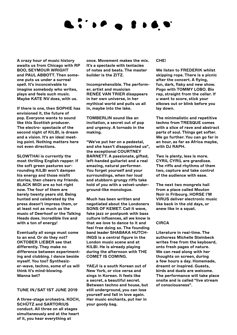# EDITORIAL EN ESPERANT

A crazy hour of music history awaits us from Chicago with RP BOO, SEYMOUR WRIGHT and PAUL ABBOTT. Then someone puts us under a surreal spell. It's inconceivable to imagine somebody who writes, plays and feels such music. Maybe KATE NV does, with us.

If there is one, then SOPHIE has envisioned it, the future of pop. Everyone wants to sound like this Scottish producer. The electro- spectacle of the second night of KILBI, is dream and a vision. It's an ideal meeting point. Nothing matters here not even directions.

SLOWTHAI is currently the most thrilling English rapper. If the soft green pastures surrounding KILBI won't dampen his energy and those misfit stories, then cheers my friends. BLACK MIDI are so hot right now. The four of them are barely twenty years old. Being hunted and celebrated by the press doesn't impress them, or at least not as much as the music of Deerhoof or the Talking Heads does. Incredible live and with a ton of energy!

Eventually all songs must come to an end. Or do they not? OKTOBER LIEBER see that differently. They make no difference between experimenting and clubbing. I dance beside myself. You too? Synthesizer-wave, techno, some of us will think it's mind-blowing. Wanna bet?

#### TUNE IN / SAT 1ST JUNE 2019

A three-stage orchestra. KOCH, SCHÜTZ and SARTORIUS conduct. All three on all stages simultaneously and at the heart of it, you hear everything at

once. Movement makes the mix. It's a spectacle with tentacles of notes and beats. The master builder is the ZITZ.

Incomprehensible. The performer, artist and musician RENÉE VAN TRIER disappears in her own universe, in her mythical world and pulls us all in, maybe into the lake.

TOMBERLIN sound like an invitation, a secret out of pop and urgency. A tornado in the making.

"We've put her on a pedestal, and she hasn't disappointed us", the exceptional COURTNEY BARNETT. A passionate, gifted, left-handed guitarist and a real amazing, natural performer. You forget yourself and your surroundings, when her loud and stubborn grungy riffs take hold of you with a velvet-underground-like monologue.

Much has been written and negotiated about the Londoners SONS OF KEMET. Call it wave, fake jazz or postpunk with bass culture influences, all we know is that we love to dance to it and feel free doing so. The founding band leader SHABAKA HUTCH-INGS is a central figure in the London music scene and at KILBI. He is already playing during the afternoon with THE COMET IS COMING.

YAEJI is a south Korean out of New York, or vice versa and sings in Korean. It feels like a secret, a beautiful secret. Between techno and house, but still underground, you can lose yourself and fall in love again. Her music enchants, put her in your goody bag.

#### CHE!

We listen to FREDERIK whilst skipping rope. There is a picnic after the concert. A flying, fun, dark, flaky and new show. Pogo with TOMMY LOBO. Bio rap, straight from the cellar. If u want to score, stick your elbows out or blink before you lay down.

The minimalistic and repetitive techno from TRESQUE comes with a slice of rave and abstract parts of soul. Things get softer. We go further. You can go far in an hour, as far as Africa maybe, with DJ RAPH.

Two is plenty, less is more. CYRIL CYRIL are grandiose. The riffs and rhythms of them two, capture and take control of the audience with ease.

The next two mongrels hail from a place called Mouton Noir in Fribourg. HORSE I'M VIRUS deliver electronic music like back in the old days, or anew like in a squat.

#### **CIRCA**

Literature in real-time. The authoress Michelle Steinbeck writes free from the keyboard, onto fresh pages of nature. We can read along with her thoughts on screen, during a few hours a day. Homemade, dreamt or inspired. Guests, birds and duels are welcome. The performance will take place onsite and is called "live stream of consciousness".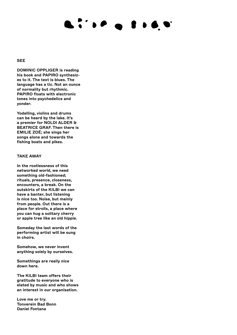# EDITORIAL COMPANY

#### **SEE**

DOMINIC OPPLIGER is reading his book and PAPIRO synthesizes to it. The text is blues. The language has a tic. Not an ounce of normality but rhythmic. PAPIRO floats with electronic tones into psychedelics and yonder.

Yodelling, violins and drums can be heard by the lake. It's a premier for NOLDI ALDER & BEATRICE GRAF. Then there is EMILIE ZOÉ; she sings her songs alone and towards the fishing boats and pikes.

#### TAKE AWAY

In the rootlessness of this networked world, we need something old-fashioned; rituals, presence, closeness, encounters, a break. On the outskirts of the KILBI we can have a banter, but listening is nice too. Noise, but mainly from people. Out there is a place for strolls, a place where you can hug a solitary cherry or apple tree like an old hippie.

Someday the last words of the performing artist will be sung in choirs.

Somehow, we never invent anything solely by ourselves.

Somethings are really nice down here.

The KILBI team offers their gratitude to everyone who is elated by music and who shows an interest in our organisation.

Love me or try. Tonverein Bad Bonn Daniel Fontana